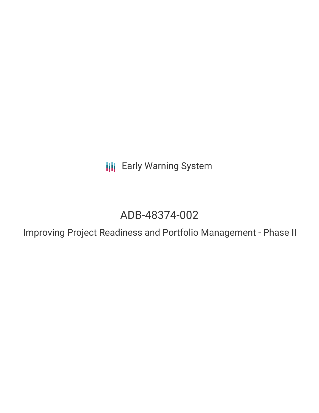**III** Early Warning System

# ADB-48374-002

Improving Project Readiness and Portfolio Management - Phase II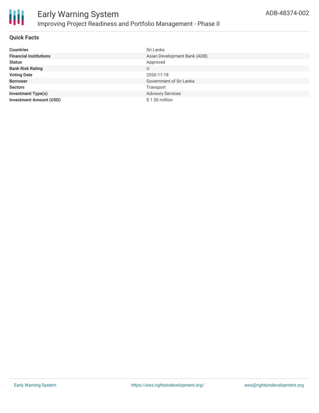

#### **Quick Facts**

| <b>Countries</b>               | Sri Lanka                    |
|--------------------------------|------------------------------|
| <b>Financial Institutions</b>  | Asian Development Bank (ADB) |
| <b>Status</b>                  | Approved                     |
| <b>Bank Risk Rating</b>        | U                            |
| <b>Voting Date</b>             | 2020-11-18                   |
| <b>Borrower</b>                | Government of Sri Lanka      |
| <b>Sectors</b>                 | Transport                    |
| <b>Investment Type(s)</b>      | <b>Advisory Services</b>     |
| <b>Investment Amount (USD)</b> | $$1.50$ million              |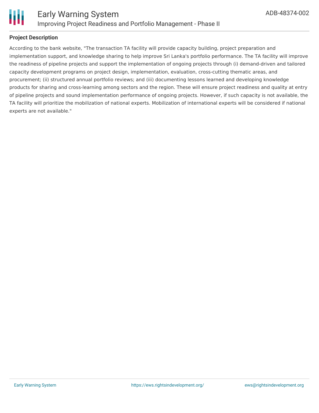

## **Project Description**

According to the bank website, "The transaction TA facility will provide capacity building, project preparation and implementation support, and knowledge sharing to help improve Sri Lanka's portfolio performance. The TA facility will improve the readiness of pipeline projects and support the implementation of ongoing projects through (i) demand-driven and tailored capacity development programs on project design, implementation, evaluation, cross-cutting thematic areas, and procurement; (ii) structured annual portfolio reviews; and (iii) documenting lessons learned and developing knowledge products for sharing and cross-learning among sectors and the region. These will ensure project readiness and quality at entry of pipeline projects and sound implementation performance of ongoing projects. However, if such capacity is not available, the TA facility will prioritize the mobilization of national experts. Mobilization of international experts will be considered if national experts are not available."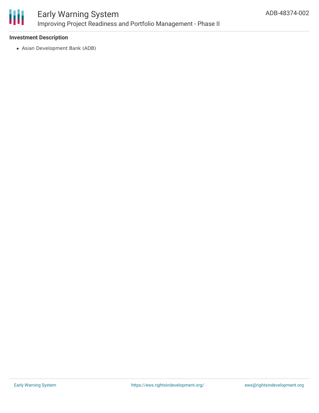

#### **Investment Description**

Asian Development Bank (ADB)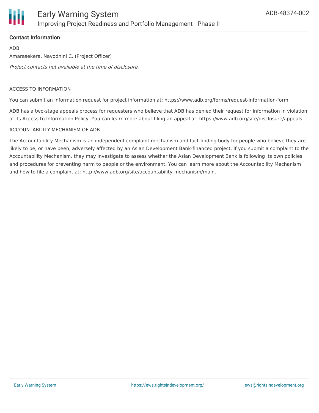

### **Contact Information**

ADB Amarasekera, Navodhini C. (Project Officer) Project contacts not available at the time of disclosure.

#### ACCESS TO INFORMATION

You can submit an information request for project information at: https://www.adb.org/forms/request-information-form

ADB has a two-stage appeals process for requesters who believe that ADB has denied their request for information in violation of its Access to Information Policy. You can learn more about filing an appeal at: https://www.adb.org/site/disclosure/appeals

#### ACCOUNTABILITY MECHANISM OF ADB

The Accountability Mechanism is an independent complaint mechanism and fact-finding body for people who believe they are likely to be, or have been, adversely affected by an Asian Development Bank-financed project. If you submit a complaint to the Accountability Mechanism, they may investigate to assess whether the Asian Development Bank is following its own policies and procedures for preventing harm to people or the environment. You can learn more about the Accountability Mechanism and how to file a complaint at: http://www.adb.org/site/accountability-mechanism/main.